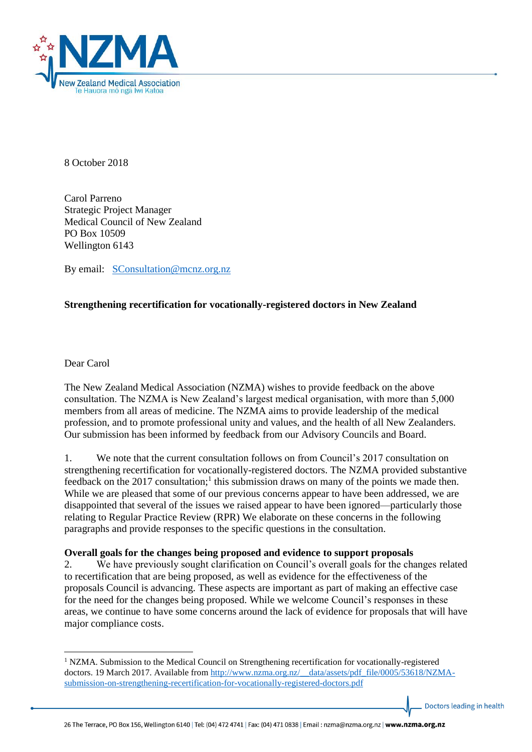

8 October 2018

Carol Parreno Strategic Project Manager Medical Council of New Zealand PO Box 10509 Wellington 6143

By email: [SConsultation@mcnz.org.nz](mailto:SConsultation@mcnz.org.nz)

# **Strengthening recertification for vocationally-registered doctors in New Zealand**

Dear Carol

 $\overline{a}$ 

The New Zealand Medical Association (NZMA) wishes to provide feedback on the above consultation. The NZMA is New Zealand's largest medical organisation, with more than 5,000 members from all areas of medicine. The NZMA aims to provide leadership of the medical profession, and to promote professional unity and values, and the health of all New Zealanders. Our submission has been informed by feedback from our Advisory Councils and Board.

1. We note that the current consultation follows on from Council's 2017 consultation on strengthening recertification for vocationally-registered doctors. The NZMA provided substantive feedback on the  $2017$  consultation;<sup>1</sup> this submission draws on many of the points we made then. While we are pleased that some of our previous concerns appear to have been addressed, we are disappointed that several of the issues we raised appear to have been ignored—particularly those relating to Regular Practice Review (RPR) We elaborate on these concerns in the following paragraphs and provide responses to the specific questions in the consultation.

## **Overall goals for the changes being proposed and evidence to support proposals**

2. We have previously sought clarification on Council's overall goals for the changes related to recertification that are being proposed, as well as evidence for the effectiveness of the proposals Council is advancing. These aspects are important as part of making an effective case for the need for the changes being proposed. While we welcome Council's responses in these areas, we continue to have some concerns around the lack of evidence for proposals that will have major compliance costs.

Doctors leading in health

 $1$  NZMA. Submission to the Medical Council on Strengthening recertification for vocationally-registered doctors. 19 March 2017. Available from http://www.nzma.org.nz/ data/assets/pdf file/0005/53618/NZMA[submission-on-strengthening-recertification-for-vocationally-registered-doctors.pdf](http://www.nzma.org.nz/__data/assets/pdf_file/0005/53618/NZMA-submission-on-strengthening-recertification-for-vocationally-registered-doctors.pdf)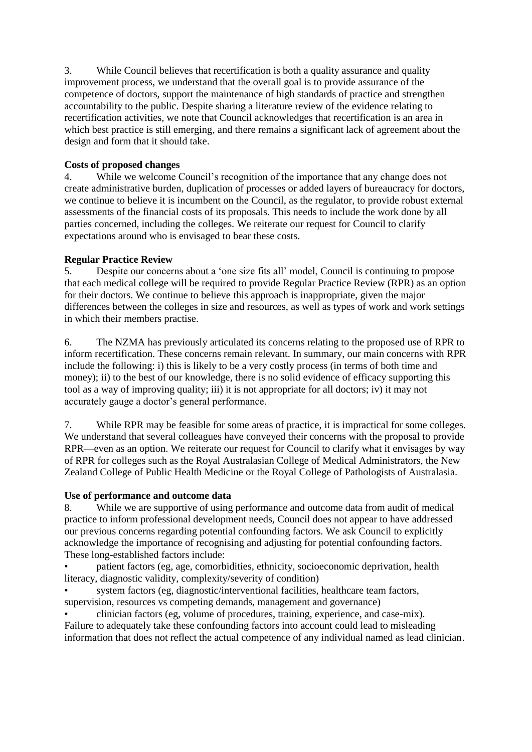3. While Council believes that recertification is both a quality assurance and quality improvement process, we understand that the overall goal is to provide assurance of the competence of doctors, support the maintenance of high standards of practice and strengthen accountability to the public. Despite sharing a literature review of the evidence relating to recertification activities, we note that Council acknowledges that recertification is an area in which best practice is still emerging, and there remains a significant lack of agreement about the design and form that it should take.

# **Costs of proposed changes**

4. While we welcome Council's recognition of the importance that any change does not create administrative burden, duplication of processes or added layers of bureaucracy for doctors, we continue to believe it is incumbent on the Council, as the regulator, to provide robust external assessments of the financial costs of its proposals. This needs to include the work done by all parties concerned, including the colleges. We reiterate our request for Council to clarify expectations around who is envisaged to bear these costs.

# **Regular Practice Review**

5. Despite our concerns about a 'one size fits all' model, Council is continuing to propose that each medical college will be required to provide Regular Practice Review (RPR) as an option for their doctors. We continue to believe this approach is inappropriate, given the major differences between the colleges in size and resources, as well as types of work and work settings in which their members practise.

6. The NZMA has previously articulated its concerns relating to the proposed use of RPR to inform recertification. These concerns remain relevant. In summary, our main concerns with RPR include the following: i) this is likely to be a very costly process (in terms of both time and money); ii) to the best of our knowledge, there is no solid evidence of efficacy supporting this tool as a way of improving quality; iii) it is not appropriate for all doctors; iv) it may not accurately gauge a doctor's general performance.

7. While RPR may be feasible for some areas of practice, it is impractical for some colleges. We understand that several colleagues have conveyed their concerns with the proposal to provide RPR—even as an option. We reiterate our request for Council to clarify what it envisages by way of RPR for colleges such as the Royal Australasian College of Medical Administrators, the New Zealand College of Public Health Medicine or the Royal College of Pathologists of Australasia.

## **Use of performance and outcome data**

8. While we are supportive of using performance and outcome data from audit of medical practice to inform professional development needs, Council does not appear to have addressed our previous concerns regarding potential confounding factors. We ask Council to explicitly acknowledge the importance of recognising and adjusting for potential confounding factors. These long-established factors include:

• patient factors (eg, age, comorbidities, ethnicity, socioeconomic deprivation, health literacy, diagnostic validity, complexity/severity of condition)

system factors (eg, diagnostic/interventional facilities, healthcare team factors, supervision, resources vs competing demands, management and governance)

• clinician factors (eg, volume of procedures, training, experience, and case-mix). Failure to adequately take these confounding factors into account could lead to misleading information that does not reflect the actual competence of any individual named as lead clinician.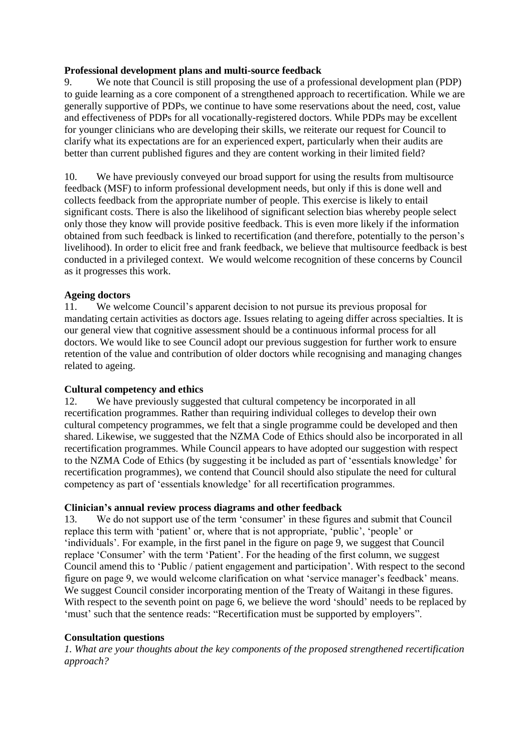## **Professional development plans and multi-source feedback**

9. We note that Council is still proposing the use of a professional development plan (PDP) to guide learning as a core component of a strengthened approach to recertification. While we are generally supportive of PDPs, we continue to have some reservations about the need, cost, value and effectiveness of PDPs for all vocationally-registered doctors. While PDPs may be excellent for younger clinicians who are developing their skills, we reiterate our request for Council to clarify what its expectations are for an experienced expert, particularly when their audits are better than current published figures and they are content working in their limited field?

10. We have previously conveyed our broad support for using the results from multisource feedback (MSF) to inform professional development needs, but only if this is done well and collects feedback from the appropriate number of people. This exercise is likely to entail significant costs. There is also the likelihood of significant selection bias whereby people select only those they know will provide positive feedback. This is even more likely if the information obtained from such feedback is linked to recertification (and therefore, potentially to the person's livelihood). In order to elicit free and frank feedback, we believe that multisource feedback is best conducted in a privileged context. We would welcome recognition of these concerns by Council as it progresses this work.

# **Ageing doctors**

11. We welcome Council's apparent decision to not pursue its previous proposal for mandating certain activities as doctors age. Issues relating to ageing differ across specialties. It is our general view that cognitive assessment should be a continuous informal process for all doctors. We would like to see Council adopt our previous suggestion for further work to ensure retention of the value and contribution of older doctors while recognising and managing changes related to ageing.

# **Cultural competency and ethics**

12. We have previously suggested that cultural competency be incorporated in all recertification programmes. Rather than requiring individual colleges to develop their own cultural competency programmes, we felt that a single programme could be developed and then shared. Likewise, we suggested that the NZMA Code of Ethics should also be incorporated in all recertification programmes. While Council appears to have adopted our suggestion with respect to the NZMA Code of Ethics (by suggesting it be included as part of 'essentials knowledge' for recertification programmes), we contend that Council should also stipulate the need for cultural competency as part of 'essentials knowledge' for all recertification programmes.

## **Clinician's annual review process diagrams and other feedback**

13. We do not support use of the term 'consumer' in these figures and submit that Council replace this term with 'patient' or, where that is not appropriate, 'public', 'people' or 'individuals'. For example, in the first panel in the figure on page 9, we suggest that Council replace 'Consumer' with the term 'Patient'. For the heading of the first column, we suggest Council amend this to 'Public / patient engagement and participation'. With respect to the second figure on page 9, we would welcome clarification on what 'service manager's feedback' means. We suggest Council consider incorporating mention of the Treaty of Waitangi in these figures. With respect to the seventh point on page 6, we believe the word 'should' needs to be replaced by 'must' such that the sentence reads: "Recertification must be supported by employers".

## **Consultation questions**

*1. What are your thoughts about the key components of the proposed strengthened recertification approach?*